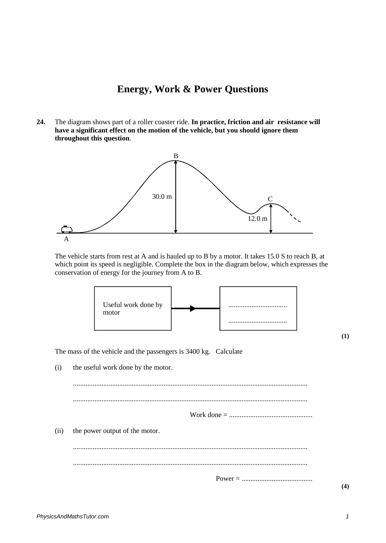## **Energy, Work & Power Questions**

**24.** The diagram shows part of a roller coaster ride. **In practice, friction and air resistance will have a significant effect on the motion of the vehicle, but you should ignore them throughout this question**.



The vehicle starts from rest at A and is hauled up to B by a motor. It takes 15.0 S to reach B, at which point its speed is negligible. Complete the box in the diagram below, which expresses the conservation of energy for the journey from A to B.



**(1)**

The mass of the vehicle and the passengers is 3400 kg. Calculate

(i) the useful work done by the motor.

.................................................................................................................................... .................................................................................................................................... Work done = ............................................... (ii) the power output of the motor. ....................................................................................................................................

.................................................................................................................................... Power = ........................................

**(4)**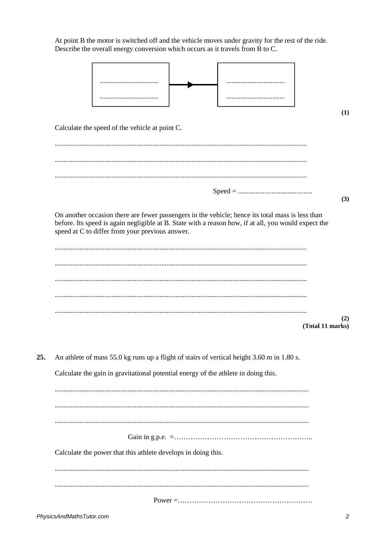| Describe the overall energy conversion which occurs as it travels from B to C.                                                                                                                                                                              |                  |
|-------------------------------------------------------------------------------------------------------------------------------------------------------------------------------------------------------------------------------------------------------------|------------------|
|                                                                                                                                                                                                                                                             |                  |
|                                                                                                                                                                                                                                                             |                  |
|                                                                                                                                                                                                                                                             |                  |
|                                                                                                                                                                                                                                                             |                  |
|                                                                                                                                                                                                                                                             |                  |
| Calculate the speed of the vehicle at point C.                                                                                                                                                                                                              |                  |
|                                                                                                                                                                                                                                                             |                  |
|                                                                                                                                                                                                                                                             |                  |
|                                                                                                                                                                                                                                                             |                  |
|                                                                                                                                                                                                                                                             |                  |
|                                                                                                                                                                                                                                                             |                  |
| On another occasion there are fewer passengers in the vehicle; hence its total mass is less than<br>before. Its speed is again negligible at B. State with a reason how, if at all, you would expect the<br>speed at C to differ from your previous answer. |                  |
|                                                                                                                                                                                                                                                             |                  |
|                                                                                                                                                                                                                                                             |                  |
|                                                                                                                                                                                                                                                             |                  |
|                                                                                                                                                                                                                                                             |                  |
|                                                                                                                                                                                                                                                             |                  |
|                                                                                                                                                                                                                                                             | (Total 11 marks) |
|                                                                                                                                                                                                                                                             |                  |
|                                                                                                                                                                                                                                                             |                  |
| An athlete of mass 55.0 kg runs up a flight of stairs of vertical height 3.60 m in 1.80 s.                                                                                                                                                                  |                  |
| Calculate the gain in gravitational potential energy of the athlete in doing this.                                                                                                                                                                          |                  |
|                                                                                                                                                                                                                                                             |                  |
|                                                                                                                                                                                                                                                             |                  |
|                                                                                                                                                                                                                                                             |                  |
|                                                                                                                                                                                                                                                             |                  |
|                                                                                                                                                                                                                                                             |                  |
| Calculate the power that this athlete develops in doing this.                                                                                                                                                                                               |                  |
|                                                                                                                                                                                                                                                             |                  |
|                                                                                                                                                                                                                                                             |                  |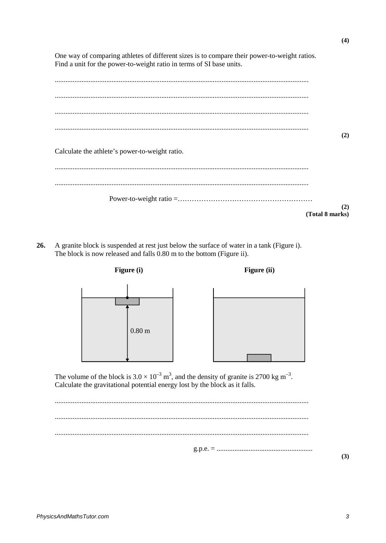One way of comparing athletes of different sizes is to compare their power-to-weight ratios. Find a unit for the power-to-weight ratio in terms of SI base units.  $(2)$ Calculate the athlete's power-to-weight ratio.  $(2)$ (Total 8 marks)

A granite block is suspended at rest just below the surface of water in a tank (Figure i). 26. The block is now released and falls 0.80 m to the bottom (Figure ii).



The volume of the block is  $3.0 \times 10^{-3}$  m<sup>3</sup>, and the density of granite is 2700 kg m<sup>-3</sup>. Calculate the gravitational potential energy lost by the block as it falls.

 $(3)$ 

 $(4)$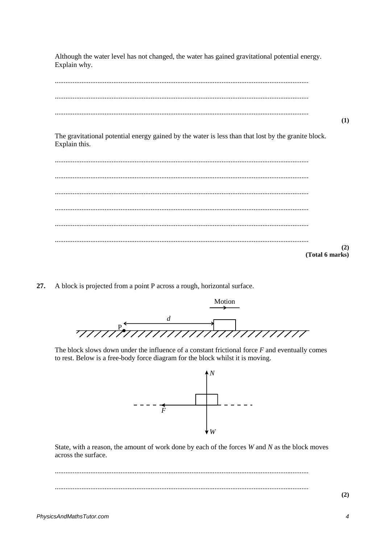Although the water level has not changed, the water has gained gravitational potential energy. Explain why.



The gravitational potential energy gained by the water is less than that lost by the granite block. Explain this.

 $(2)$ (Total 6 marks)

27. A block is projected from a point P across a rough, horizontal surface.



The block slows down under the influence of a constant frictional force  $F$  and eventually comes to rest. Below is a free-body force diagram for the block whilst it is moving.



State, with a reason, the amount of work done by each of the forces  $W$  and  $N$  as the block moves across the surface.

 $(2)$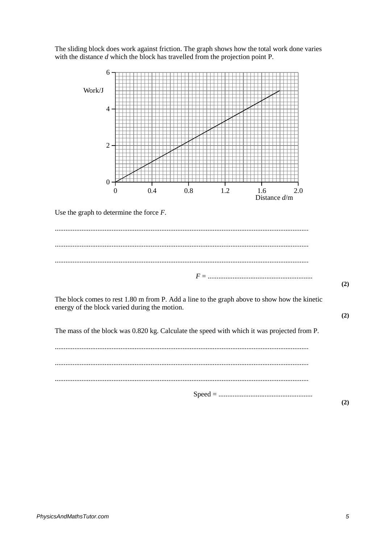The sliding block does work against friction. The graph shows how the total work done varies with the distance  $d$  which the block has travelled from the projection point P.

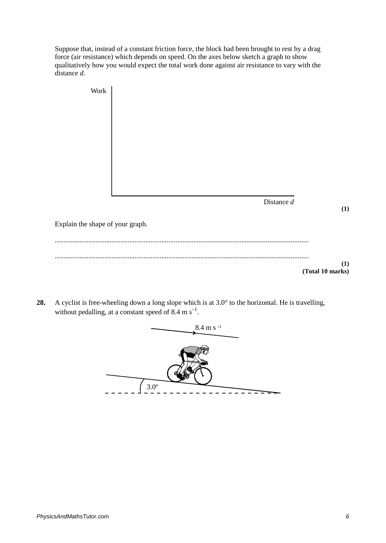Suppose that, instead of a constant friction force, the block had been brought to rest by a drag force (air resistance) which depends on speed. On the axes below sketch a graph to show qualitatively how you would expect the total work done against air resistance to vary with the distance *d.*



**28.** A cyclist is free-wheeling down a long slope which is at 3.0° to the horizontal. He is travelling, without pedalling, at a constant speed of 8.4 m  $\rm s^{-1}$ .

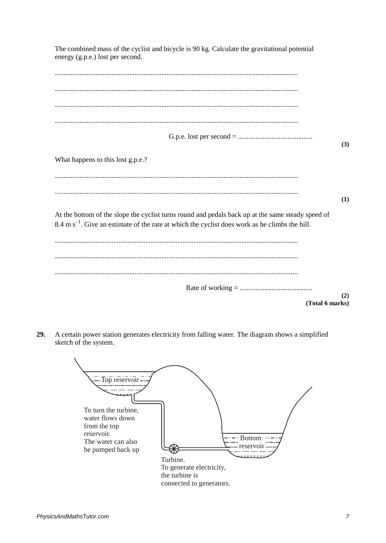| The combined mass of the cyclist and bicycle is 90 kg. Calculate the gravitational potential<br>energy (g.p.e.) lost per second.                                                                                 |
|------------------------------------------------------------------------------------------------------------------------------------------------------------------------------------------------------------------|
|                                                                                                                                                                                                                  |
|                                                                                                                                                                                                                  |
|                                                                                                                                                                                                                  |
|                                                                                                                                                                                                                  |
| (3)                                                                                                                                                                                                              |
| What happens to this lost g.p.e.?                                                                                                                                                                                |
|                                                                                                                                                                                                                  |
| (1)                                                                                                                                                                                                              |
| At the bottom of the slope the cyclist turns round and pedals back up at the same steady speed of<br>$8.4 \text{ m s}^{-1}$ . Give an estimate of the rate at which the cyclist does work as he climbs the hill. |
|                                                                                                                                                                                                                  |
|                                                                                                                                                                                                                  |
|                                                                                                                                                                                                                  |
| (2)<br>(Total 6 marks)                                                                                                                                                                                           |

**29.** A certain power station generates electricity from falling water. The diagram shows a simplified sketch of the system.

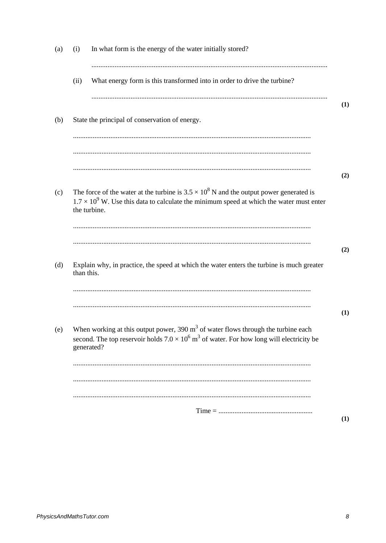| What energy form is this transformed into in order to drive the turbine?<br>(ii)<br>State the principal of conservation of energy.<br>(b)<br>The force of the water at the turbine is $3.5 \times 10^8$ N and the output power generated is<br>(c)<br>$1.7 \times 10^9$ W. Use this data to calculate the minimum speed at which the water must enter<br>the turbine.<br>Explain why, in practice, the speed at which the water enters the turbine is much greater<br>(d)<br>than this.<br>When working at this output power, $390 \text{ m}^3$ of water flows through the turbine each<br>(e)<br>second. The top reservoir holds $7.0 \times 10^6$ m <sup>3</sup> of water. For how long will electricity be<br>generated? | (a) | (i) | In what form is the energy of the water initially stored? |     |
|-----------------------------------------------------------------------------------------------------------------------------------------------------------------------------------------------------------------------------------------------------------------------------------------------------------------------------------------------------------------------------------------------------------------------------------------------------------------------------------------------------------------------------------------------------------------------------------------------------------------------------------------------------------------------------------------------------------------------------|-----|-----|-----------------------------------------------------------|-----|
|                                                                                                                                                                                                                                                                                                                                                                                                                                                                                                                                                                                                                                                                                                                             |     |     |                                                           |     |
|                                                                                                                                                                                                                                                                                                                                                                                                                                                                                                                                                                                                                                                                                                                             |     |     |                                                           | (1) |
|                                                                                                                                                                                                                                                                                                                                                                                                                                                                                                                                                                                                                                                                                                                             |     |     |                                                           | (2) |
|                                                                                                                                                                                                                                                                                                                                                                                                                                                                                                                                                                                                                                                                                                                             |     |     |                                                           |     |
|                                                                                                                                                                                                                                                                                                                                                                                                                                                                                                                                                                                                                                                                                                                             |     |     |                                                           | (2) |
|                                                                                                                                                                                                                                                                                                                                                                                                                                                                                                                                                                                                                                                                                                                             |     |     |                                                           | (1) |
|                                                                                                                                                                                                                                                                                                                                                                                                                                                                                                                                                                                                                                                                                                                             |     |     |                                                           |     |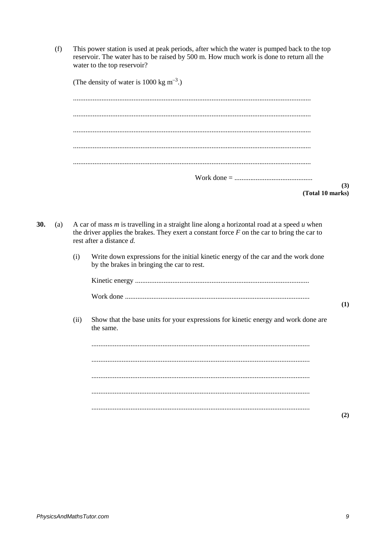This power station is used at peak periods, after which the water is pumped back to the top  $(f)$ reservoir. The water has to be raised by 500 m. How much work is done to return all the water to the top reservoir?

| (The density of water is 1000 kg $m^{-3}$ .) |  |
|----------------------------------------------|--|
|                                              |  |
|                                              |  |
|                                              |  |
|                                              |  |
|                                              |  |
| (3)                                          |  |
| (Total 10 marks)                             |  |

- 30.  $(a)$ A car of mass  $m$  is travelling in a straight line along a horizontal road at a speed  $u$  when the driver applies the brakes. They exert a constant force  $F$  on the car to bring the car to rest after a distance  $d$ .
	- $(i)$ Write down expressions for the initial kinetic energy of the car and the work done by the brakes in bringing the car to rest.

Show that the base units for your expressions for kinetic energy and work done are  $(ii)$ the same.

  $(1)$ 

 $(2)$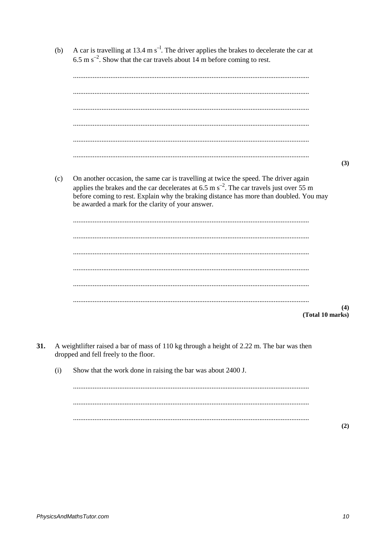- A car is travelling at 13.4 m  $s^{-1}$ . The driver applies the brakes to decelerate the car at  $(b)$ 6.5 m  $s^{-2}$ . Show that the car travels about 14 m before coming to rest.  $(3)$ On another occasion, the same car is travelling at twice the speed. The driver again  $(c)$ applies the brakes and the car decelerates at 6.5 m  $s^{-2}$ . The car travels just over 55 m before coming to rest. Explain why the braking distance has more than doubled. You may be awarded a mark for the clarity of your answer.  $(4)$ (Total 10 marks)
- 31. A weightlifter raised a bar of mass of 110 kg through a height of 2.22 m. The bar was then dropped and fell freely to the floor.
	- Show that the work done in raising the bar was about 2400 J.  $(i)$

 $(2)$